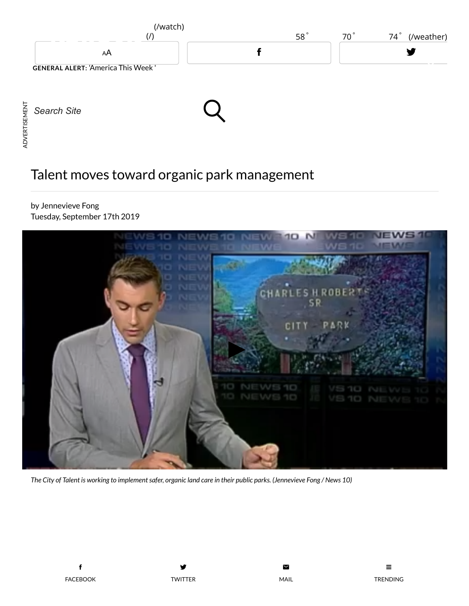

## Talent moves toward organic park management

by Jennevieve Fong Tuesday, September 17th 2019



The City of Talent is working to implement safer, organic land care in their public parks. (Jennevieve Fong / News 10)

y TWITTER



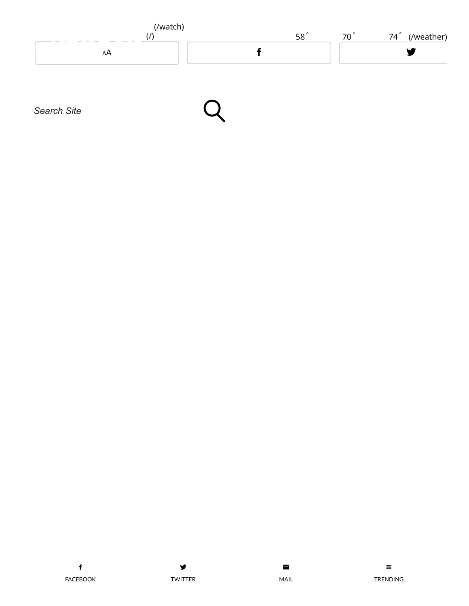





 $\blacksquare$ 

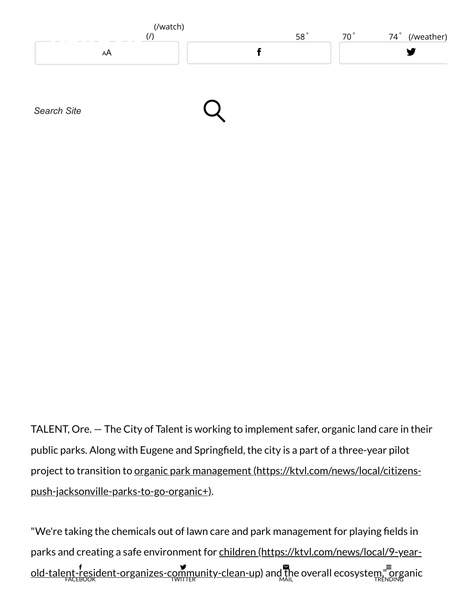

TALENT, Ore. — The City of Talent is working to implement safer, organic land care in their public parks. Along with Eugene and Springfield, the city is a part of a three-year pilot project to transition to organic park management (https://ktvl.com/news/local/citizens[push-jacksonville-parks-to-go-organic+\).](https://ktvl.com/news/local/citizens-push-jacksonville-parks-to-go-organic+)

"We're taking the chemicals out of lawn care and park management for playing fields in parks and creating a safe environment for children (https://ktvl.com/news/local/9-year[old-talent-resident-organizes-community-clean-up\)](https://ktvl.com/news/local/9-year-old-talent-resident-organizes-community-clean-up) and the [overall](mailto:?subject=A%20link%20for%20you&body=You%20should%20read%20this!%0A%0Ahttp://ktvl.com/news/local/talent-moves-toward-organic-park-management) ecosystem," organic FACEBOOK y TWITTER ¥, MAIL  $\equiv$ TRENDING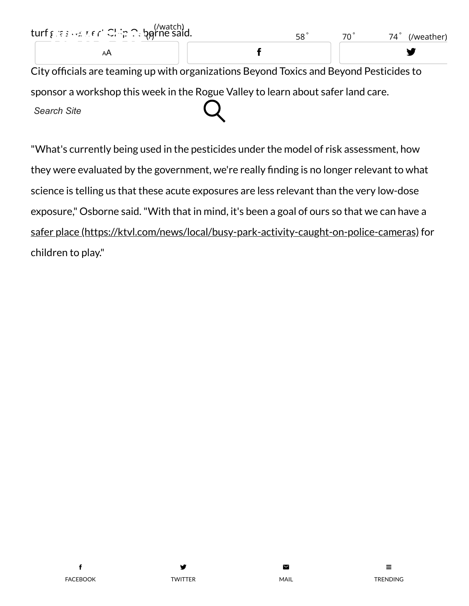| turf & sienener' Clip Cupperne said.                                                    | 58° | $70^\circ$ | $74^\circ$<br>(/weather) |
|-----------------------------------------------------------------------------------------|-----|------------|--------------------------|
| AA                                                                                      |     |            |                          |
| City officials are teaming up with organizations Beyond Toxics and Beyond Pesticides to |     |            |                          |
| sponsor a workshop this week in the Rogue Valley to learn about safer land care.        |     |            |                          |

*Search Site*

"What's currently being used in the pesticides under the model of risk assessment, how they were evaluated by the government, we're really finding is no longer relevant to what science is telling us that these acute exposures are less relevant than the very low-dose exposure," Osborne said."With that in mind, it's been a goal of ours so that we can have a safer place [\(https://ktvl.com/news/local/busy-park-activity-caught-on-police-cameras\)](https://ktvl.com/news/local/busy-park-activity-caught-on-police-cameras) for children to play."